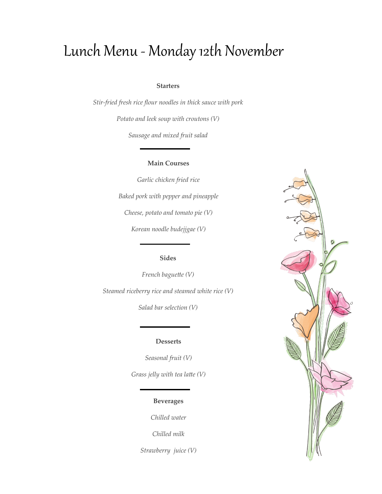# Lunch Menu - Monday 12th November

### **Starters**

*Stir-fried fresh rice flour noodles in thick sauce with pork*

*Potato and leek soup with croutons (V)*

*Sausage and mixed fruit salad*

## **Main Courses**

*Garlic chicken fried rice Baked pork with pepper and pineapple Cheese, potato and tomato pie (V) Korean noodle budejjgae (V)*

# **Sides**

*French baguette (V) Steamed riceberry rice and steamed white rice (V)*

*Salad bar selection (V)*

## **Desserts**

*Seasonal fruit (V) Grass jelly with tea latte (V)*

# **Beverages**

*Chilled water*

*Chilled milk*

*Strawberry juice (V)*

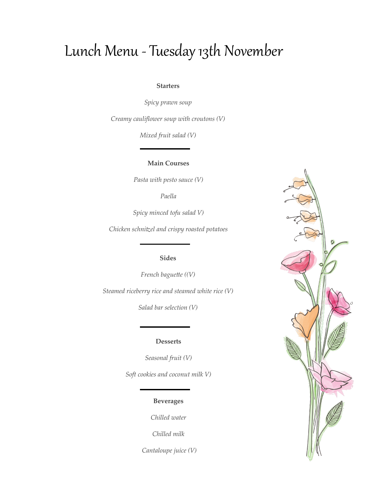# Lunch Menu - Tuesday 13th November

## **Starters**

*Spicy prawn soup*

*Creamy cauliflower soup with croutons (V)*

*Mixed fruit salad (V)*

**Main Courses**

*Pasta with pesto sauce (V)*

*Paella*

*Spicy minced tofu salad V)*

*Chicken schnitzel and crispy roasted potatoes*

## **Sides**

*French baguette ((V)*

*Steamed riceberry rice and steamed white rice (V)*

*Salad bar selection (V)*

#### **Desserts**

*Seasonal fruit (V)*

*Soft cookies and coconut milk V)* 

## **Beverages**

*Chilled water*

*Chilled milk*

*Cantaloupe juice (V)*

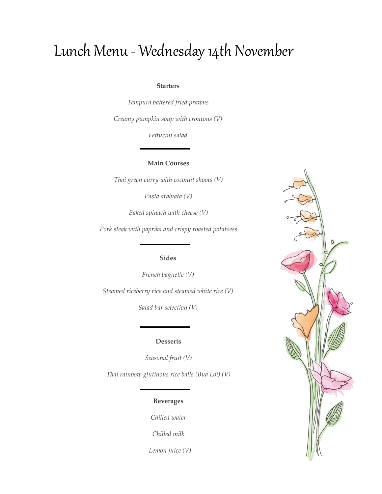# Lunch Menu - Wednesday 14th November

### **Starters**

*Tempura battered fried prawns Creamy pumpkin soup with croutons (V)*

*Fettucini salad*

## **Main Courses**

*Thai green curry with coconut shoots (V)*

*Pasta arabiata (V)*

*Baked spinach with cheese (V)*

*Pork steak with paprika and crispy roasted potatoess*

## **Sides**

*French baguette (V)*

*Steamed riceberry rice and steamed white rice (V)*

*Salad bar selection (V)*

### **Desserts**

*Seasonal fruit (V)*

*Thai rainbow glutinous rice balls (Bua Loi) (V)*

## **Beverages**

*Chilled water*

*Chilled milk*

 *Lemon juice (V)*

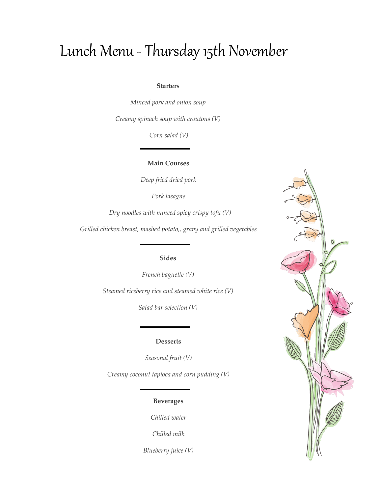# Lunch Menu - Thursday 15th November

### **Starters**

*Minced pork and onion soup* 

*Creamy spinach soup with croutons (V)*

*Corn salad (V)*

**Main Courses**

*Deep fried dried pork*

*Pork lasagne*

 *Dry noodles with minced spicy crispy tofu (V)*

*Grilled chicken breast, mashed potato,, gravy and grilled vegetables*

## **Sides**

*French baguette (V)*

*Steamed riceberry rice and steamed white rice (V)*

*Salad bar selection (V)*

### **Desserts**

*Seasonal fruit (V)*

*Creamy coconut tapioca and corn pudding (V)*

## **Beverages**

*Chilled water*

*Chilled milk*

*Blueberry juice (V)*

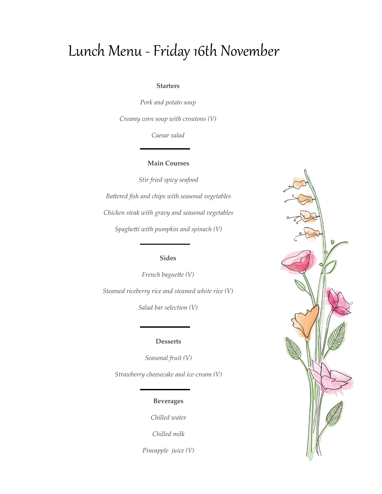# Lunch Menu -Friday 16th November

### **Starters**

*Pork and potato soup*

*Creamy corn soup with croutons (V)*

*Caesar salad*

## **Main Courses**

*Stir fried spicy seafood Battered fish and chips with seasonal vegetables Chicken steak with gravy and seasonal vegetables Spaghetti with pumpkin and spinach (V)*

## **Sides**

*French baguette (V) Steamed riceberry rice and steamed white rice (V)*

*Salad bar selection (V)*

### **Desserts**

*Seasonal fruit (V)*

*Strawberry cheesecake and ice-cream (V)*

## **Beverages**

*Chilled water*

*Chilled milk*

*Pineapple juice (V)*

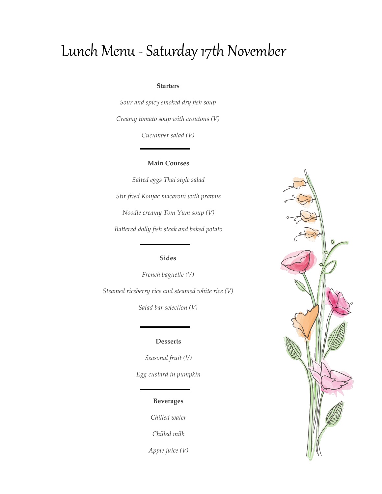# Lunch Menu - Saturday 17th November

### **Starters**

*Sour and spicy smoked dry fish soup Creamy tomato soup with croutons (V)*

*Cucumber salad (V)*

### **Main Courses**

*Salted eggs Thai style salad Stir fried Konjac macaroni with prawns Noodle creamy Tom Yum soup (V) Battered dolly fish steak and baked potato*

## **Sides**

*French baguette (V) Steamed riceberry rice and steamed white rice (V)*

*Salad bar selection (V)*

### **Desserts**

*Seasonal fruit (V) Egg custard in pumpkin*

## **Beverages**

*Chilled water*

*Chilled milk*

*Apple juice (V)*